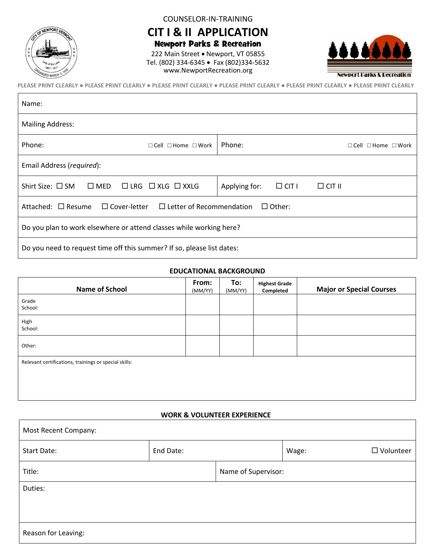

Г

COUNSELOR-IN-TRAINING

**CIT I & II APPLICATION** Newport Parks & Recreation

222 Main Street • Newport, VT 05855 Tel. (802) 334-6345 • Fax (802)334-5632 www.NewportRecreation.org



**PLEASE PRINT CLEARLY ● PLEASE PRINT CLEARLY ● PLEASE PRINT CLEARLY ● PLEASE PRINT CLEARLY ● PLEASE PRINT CLEARLY ● PLEASE PRINT CLEARLY**

| Name:                                                                                     |                                                |  |  |  |
|-------------------------------------------------------------------------------------------|------------------------------------------------|--|--|--|
| <b>Mailing Address:</b>                                                                   |                                                |  |  |  |
| Phone:<br>$\Box$ Cell $\Box$ Home $\Box$ Work                                             | Phone:<br>$\Box$ Cell $\Box$ Home $\Box$ Work  |  |  |  |
| Email Address (required):                                                                 |                                                |  |  |  |
| Shirt Size: $\square$ SM $\square$ MED $\square$ LRG $\square$ XLG $\square$ XXLG         | $\Box$ CIT I<br>$\Box$ CIT II<br>Applying for: |  |  |  |
| Attached: $\Box$ Resume $\Box$ Cover-letter $\Box$ Letter of Recommendation $\Box$ Other: |                                                |  |  |  |
| Do you plan to work elsewhere or attend classes while working here?                       |                                                |  |  |  |
| Do you need to request time off this summer? If so, please list dates:                    |                                                |  |  |  |

## **EDUCATIONAL BACKGROUND**

| <b>Name of School</b>                                 | From:<br>(MM/YY) | To:<br>(MM/YY) | <b>Highest Grade</b><br>Completed | <b>Major or Special Courses</b> |
|-------------------------------------------------------|------------------|----------------|-----------------------------------|---------------------------------|
| Grade<br>School:                                      |                  |                |                                   |                                 |
| High<br>School:                                       |                  |                |                                   |                                 |
| Other:                                                |                  |                |                                   |                                 |
| Relevant certifications, trainings or special skills: |                  |                |                                   |                                 |
|                                                       |                  |                |                                   |                                 |
|                                                       |                  |                |                                   |                                 |

## **WORK & VOLUNTEER EXPERIENCE**

| Most Recent Company: |           |                     |       |                  |
|----------------------|-----------|---------------------|-------|------------------|
| <b>Start Date:</b>   | End Date: |                     | Wage: | $\Box$ Volunteer |
| Title:               |           | Name of Supervisor: |       |                  |
| Duties:              |           |                     |       |                  |
|                      |           |                     |       |                  |
| Reason for Leaving:  |           |                     |       |                  |